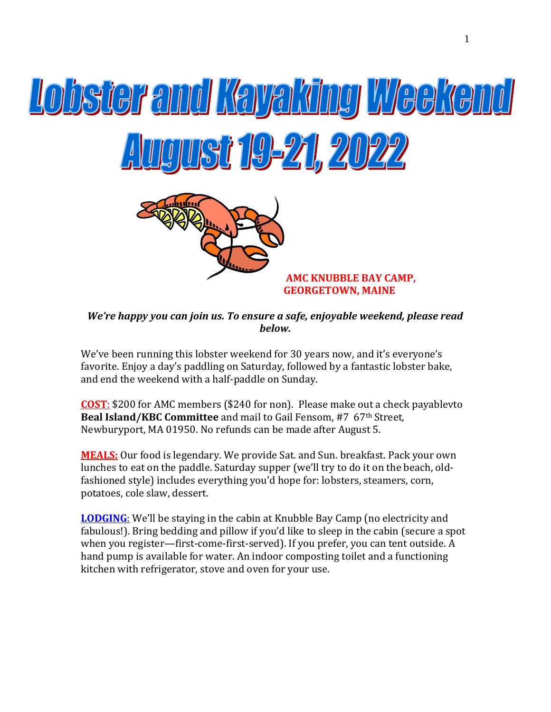

### *We're happy you can join us. To ensure a safe, enjoyable weekend, please read below.*

We've been running this lobster weekend for 30 years now, and it's everyone's favorite. Enjoy a day's paddling on Saturday, followed by a fantastic lobster bake, and end the weekend with a half-paddle on Sunday.

**COST**: \$200 for AMC members (\$240 for non). Please make out a check payablevto **Beal Island/KBC Committee** and mail to Gail Fensom, #7 67th Street, Newburyport, MA 01950. No refunds can be made after August 5.

**MEALS:** Our food is legendary. We provide Sat. and Sun. breakfast. Pack your own lunches to eat on the paddle. Saturday supper (we'll try to do it on the beach, oldfashioned style) includes everything you'd hope for: lobsters, steamers, corn, potatoes, cole slaw, dessert.

**LODGING**: We'll be staying in the cabin at Knubble Bay Camp (no electricity and fabulous!). Bring bedding and pillow if you'd like to sleep in the cabin (secure a spot when you register—first-come-first-served). If you prefer, you can tent outside. A hand pump is available for water. An indoor composting toilet and a functioning kitchen with refrigerator, stove and oven for your use.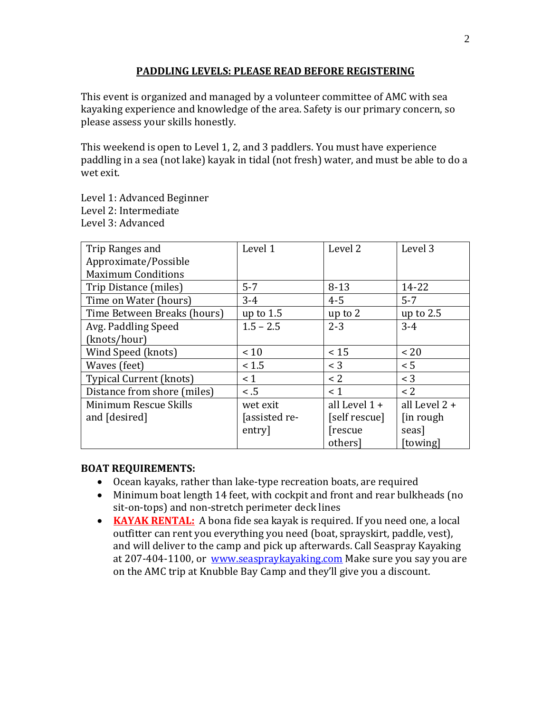#### **PADDLING LEVELS: PLEASE READ BEFORE REGISTERING**

This event is organized and managed by a volunteer committee of AMC with sea kayaking experience and knowledge of the area. Safety is our primary concern, so please assess your skills honestly.

This weekend is open to Level 1, 2, and 3 paddlers. You must have experience paddling in a sea (not lake) kayak in tidal (not fresh) water, and must be able to do a wet exit.

Level 1: Advanced Beginner Level 2: Intermediate Level 3: Advanced

| Trip Ranges and                | Level 1       | Level 2         | Level 3       |
|--------------------------------|---------------|-----------------|---------------|
| Approximate/Possible           |               |                 |               |
| <b>Maximum Conditions</b>      |               |                 |               |
| Trip Distance (miles)          | $5 - 7$       | $8 - 13$        | 14-22         |
| Time on Water (hours)          | $3-4$         | $4 - 5$         | $5 - 7$       |
| Time Between Breaks (hours)    | up to $1.5$   | up to 2         | up to $2.5$   |
| Avg. Paddling Speed            | $1.5 - 2.5$   | $2 - 3$         | $3-4$         |
| (knots/hour)                   |               |                 |               |
| Wind Speed (knots)             | < 10          | < 15            | < 20          |
| Waves (feet)                   | < 1.5         | $<$ 3           | < 5           |
| <b>Typical Current (knots)</b> | $\leq 1$      | < 2             | $<$ 3         |
| Distance from shore (miles)    | < 0.5         | < 1             | < 2           |
| Minimum Rescue Skills          | wet exit      | all Level $1 +$ | all Level 2 + |
| and [desired]                  | [assisted re- | [self rescue]   | [in rough]    |
|                                | entry         | [rescue]        | seas]         |
|                                |               | others]         | [towing]      |

#### **BOAT REQUIREMENTS:**

- Ocean kayaks, rather than lake-type recreation boats, are required
- Minimum boat length 14 feet, with cockpit and front and rear bulkheads (no sit-on-tops) and non-stretch perimeter deck lines
- **KAYAK RENTAL:** A bona fide sea kayak is required. If you need one, a local outfitter can rent you everything you need (boat, sprayskirt, paddle, vest), and will deliver to the camp and pick up afterwards. Call Seaspray Kayaking at 207-404-1100, or [www.seaspraykayaking.com](http://www.seaspraykayaking.com/) Make sure you say you are on the AMC trip at Knubble Bay Camp and they'll give you a discount.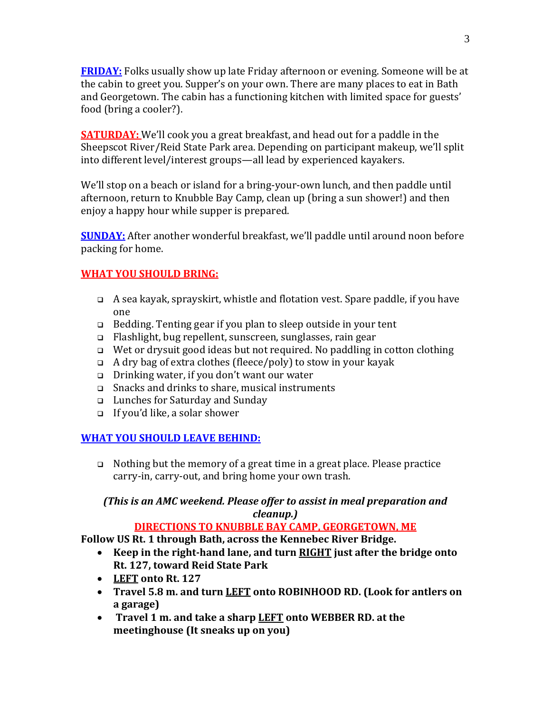**FRIDAY:** Folks usually show up late Friday afternoon or evening. Someone will be at the cabin to greet you. Supper's on your own. There are many places to eat in Bath and Georgetown. The cabin has a functioning kitchen with limited space for guests' food (bring a cooler?).

**SATURDAY:** We'll cook you a great breakfast, and head out for a paddle in the Sheepscot River/Reid State Park area. Depending on participant makeup, we'll split into different level/interest groups—all lead by experienced kayakers.

We'll stop on a beach or island for a bring-your-own lunch, and then paddle until afternoon, return to Knubble Bay Camp, clean up (bring a sun shower!) and then enjoy a happy hour while supper is prepared.

**SUNDAY:** After another wonderful breakfast, we'll paddle until around noon before packing for home.

# **WHAT YOU SHOULD BRING:**

- ❑ A sea kayak, sprayskirt, whistle and flotation vest. Spare paddle, if you have one
- ❑ Bedding. Tenting gear if you plan to sleep outside in your tent
- ❑ Flashlight, bug repellent, sunscreen, sunglasses, rain gear
- ❑ Wet or drysuit good ideas but not required. No paddling in cotton clothing
- ❑ A dry bag of extra clothes (fleece/poly) to stow in your kayak
- ❑ Drinking water, if you don't want our water
- ❑ Snacks and drinks to share, musical instruments
- ❑ Lunches for Saturday and Sunday
- ❑ If you'd like, a solar shower

## **WHAT YOU SHOULD LEAVE BEHIND:**

❑ Nothing but the memory of a great time in a great place. Please practice carry-in, carry-out, and bring home your own trash.

# *(This is an AMC weekend. Please offer to assist in meal preparation and cleanup.)*

## **DIRECTIONS TO KNUBBLE BAY CAMP, GEORGETOWN, ME**

**Follow US Rt. 1 through Bath, across the Kennebec River Bridge.** 

- **Keep in the right-hand lane, and turn RIGHT just after the bridge onto Rt. 127, toward Reid State Park**
- **LEFT onto Rt. 127**
- **Travel 5.8 m. and turn LEFT onto ROBINHOOD RD. (Look for antlers on a garage)**
- **Travel 1 m. and take a sharp LEFT onto WEBBER RD. at the meetinghouse (It sneaks up on you)**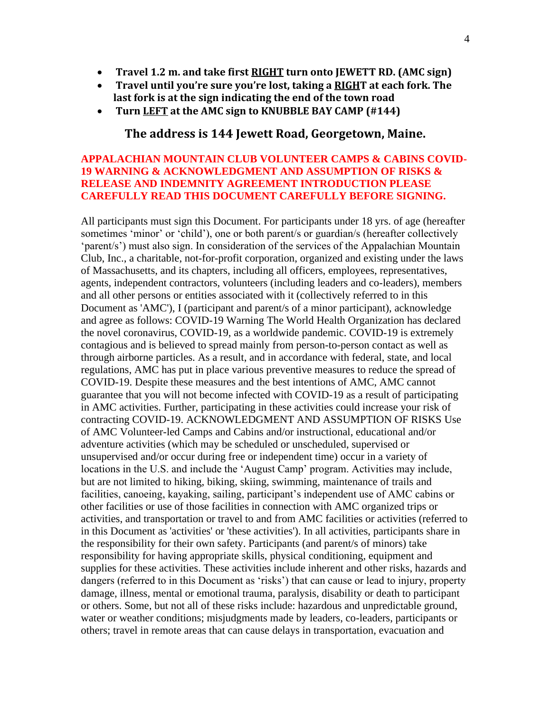- **Travel 1.2 m. and take first RIGHT turn onto JEWETT RD. (AMC sign)**
- **Travel until you're sure you're lost, taking a RIGHT at each fork. The last fork is at the sign indicating the end of the town road**
- **Turn LEFT at the AMC sign to KNUBBLE BAY CAMP (#144)**

#### **The address is 144 Jewett Road, Georgetown, Maine.**

#### **APPALACHIAN MOUNTAIN CLUB VOLUNTEER CAMPS & CABINS COVID-19 WARNING & ACKNOWLEDGMENT AND ASSUMPTION OF RISKS & RELEASE AND INDEMNITY AGREEMENT INTRODUCTION PLEASE CAREFULLY READ THIS DOCUMENT CAREFULLY BEFORE SIGNING.**

All participants must sign this Document. For participants under 18 yrs. of age (hereafter sometimes 'minor' or 'child'), one or both parent/s or guardian/s (hereafter collectively 'parent/s') must also sign. In consideration of the services of the Appalachian Mountain Club, Inc., a charitable, not-for-profit corporation, organized and existing under the laws of Massachusetts, and its chapters, including all officers, employees, representatives, agents, independent contractors, volunteers (including leaders and co-leaders), members and all other persons or entities associated with it (collectively referred to in this Document as 'AMC'), I (participant and parent/s of a minor participant), acknowledge and agree as follows: COVID-19 Warning The World Health Organization has declared the novel coronavirus, COVID-19, as a worldwide pandemic. COVID-19 is extremely contagious and is believed to spread mainly from person-to-person contact as well as through airborne particles. As a result, and in accordance with federal, state, and local regulations, AMC has put in place various preventive measures to reduce the spread of COVID-19. Despite these measures and the best intentions of AMC, AMC cannot guarantee that you will not become infected with COVID-19 as a result of participating in AMC activities. Further, participating in these activities could increase your risk of contracting COVID-19. ACKNOWLEDGMENT AND ASSUMPTION OF RISKS Use of AMC Volunteer-led Camps and Cabins and/or instructional, educational and/or adventure activities (which may be scheduled or unscheduled, supervised or unsupervised and/or occur during free or independent time) occur in a variety of locations in the U.S. and include the 'August Camp' program. Activities may include, but are not limited to hiking, biking, skiing, swimming, maintenance of trails and facilities, canoeing, kayaking, sailing, participant's independent use of AMC cabins or other facilities or use of those facilities in connection with AMC organized trips or activities, and transportation or travel to and from AMC facilities or activities (referred to in this Document as 'activities' or 'these activities'). In all activities, participants share in the responsibility for their own safety. Participants (and parent/s of minors) take responsibility for having appropriate skills, physical conditioning, equipment and supplies for these activities. These activities include inherent and other risks, hazards and dangers (referred to in this Document as 'risks') that can cause or lead to injury, property damage, illness, mental or emotional trauma, paralysis, disability or death to participant or others. Some, but not all of these risks include: hazardous and unpredictable ground, water or weather conditions; misjudgments made by leaders, co-leaders, participants or others; travel in remote areas that can cause delays in transportation, evacuation and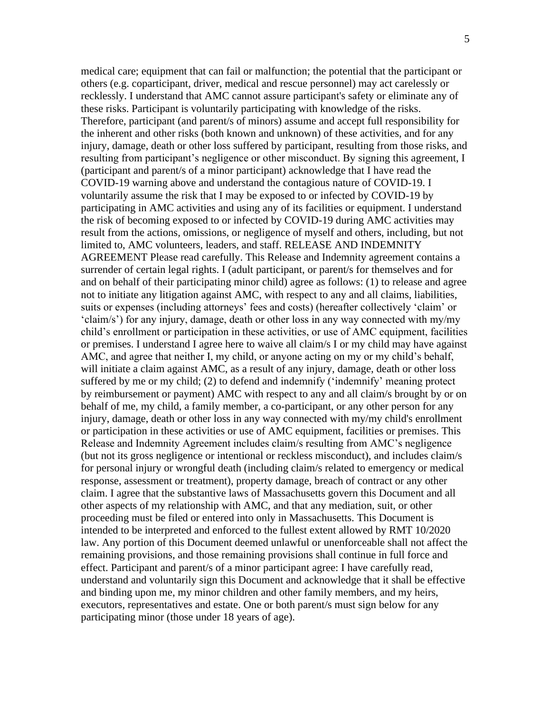medical care; equipment that can fail or malfunction; the potential that the participant or others (e.g. coparticipant, driver, medical and rescue personnel) may act carelessly or recklessly. I understand that AMC cannot assure participant's safety or eliminate any of these risks. Participant is voluntarily participating with knowledge of the risks. Therefore, participant (and parent/s of minors) assume and accept full responsibility for the inherent and other risks (both known and unknown) of these activities, and for any injury, damage, death or other loss suffered by participant, resulting from those risks, and resulting from participant's negligence or other misconduct. By signing this agreement, I (participant and parent/s of a minor participant) acknowledge that I have read the COVID-19 warning above and understand the contagious nature of COVID-19. I voluntarily assume the risk that I may be exposed to or infected by COVID-19 by participating in AMC activities and using any of its facilities or equipment. I understand the risk of becoming exposed to or infected by COVID-19 during AMC activities may result from the actions, omissions, or negligence of myself and others, including, but not limited to, AMC volunteers, leaders, and staff. RELEASE AND INDEMNITY AGREEMENT Please read carefully. This Release and Indemnity agreement contains a surrender of certain legal rights. I (adult participant, or parent/s for themselves and for and on behalf of their participating minor child) agree as follows: (1) to release and agree not to initiate any litigation against AMC, with respect to any and all claims, liabilities, suits or expenses (including attorneys' fees and costs) (hereafter collectively 'claim' or 'claim/s') for any injury, damage, death or other loss in any way connected with my/my child's enrollment or participation in these activities, or use of AMC equipment, facilities or premises. I understand I agree here to waive all claim/s I or my child may have against AMC, and agree that neither I, my child, or anyone acting on my or my child's behalf, will initiate a claim against AMC, as a result of any injury, damage, death or other loss suffered by me or my child; (2) to defend and indemnify ('indemnify' meaning protect by reimbursement or payment) AMC with respect to any and all claim/s brought by or on behalf of me, my child, a family member, a co-participant, or any other person for any injury, damage, death or other loss in any way connected with my/my child's enrollment or participation in these activities or use of AMC equipment, facilities or premises. This Release and Indemnity Agreement includes claim/s resulting from AMC's negligence (but not its gross negligence or intentional or reckless misconduct), and includes claim/s for personal injury or wrongful death (including claim/s related to emergency or medical response, assessment or treatment), property damage, breach of contract or any other claim. I agree that the substantive laws of Massachusetts govern this Document and all other aspects of my relationship with AMC, and that any mediation, suit, or other proceeding must be filed or entered into only in Massachusetts. This Document is intended to be interpreted and enforced to the fullest extent allowed by RMT 10/2020 law. Any portion of this Document deemed unlawful or unenforceable shall not affect the remaining provisions, and those remaining provisions shall continue in full force and effect. Participant and parent/s of a minor participant agree: I have carefully read, understand and voluntarily sign this Document and acknowledge that it shall be effective and binding upon me, my minor children and other family members, and my heirs, executors, representatives and estate. One or both parent/s must sign below for any participating minor (those under 18 years of age).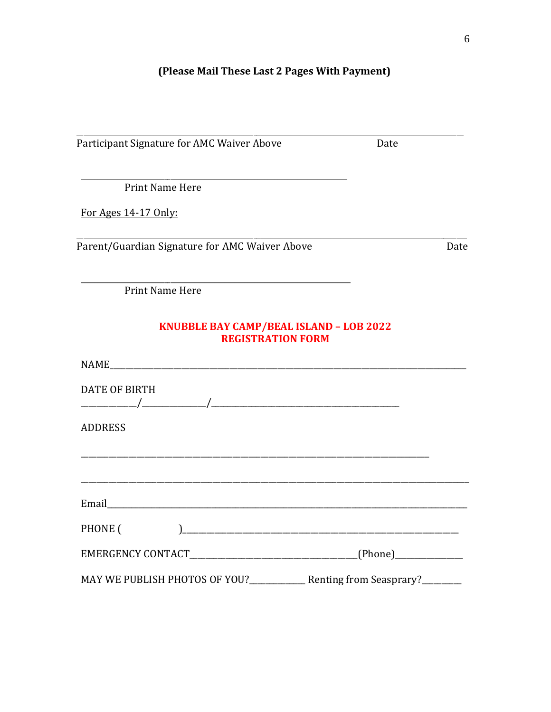# (Please Mail These Last 2 Pages With Payment)

| Participant Signature for AMC Waiver Above                                 | Date |      |
|----------------------------------------------------------------------------|------|------|
|                                                                            |      |      |
| <b>Print Name Here</b>                                                     |      |      |
| For Ages 14-17 Only:                                                       |      |      |
| Parent/Guardian Signature for AMC Waiver Above                             |      | Date |
| Print Name Here                                                            |      |      |
| <b>KNUBBLE BAY CAMP/BEAL ISLAND - LOB 2022</b><br><b>REGISTRATION FORM</b> |      |      |
|                                                                            |      |      |
| <b>DATE OF BIRTH</b>                                                       |      |      |
| <b>ADDRESS</b>                                                             |      |      |
|                                                                            |      |      |
|                                                                            |      |      |
|                                                                            |      |      |
| PHONE (                                                                    |      |      |
|                                                                            |      |      |
| MAY WE PUBLISH PHOTOS OF YOU?_____________ Renting from Seasprary?________ |      |      |